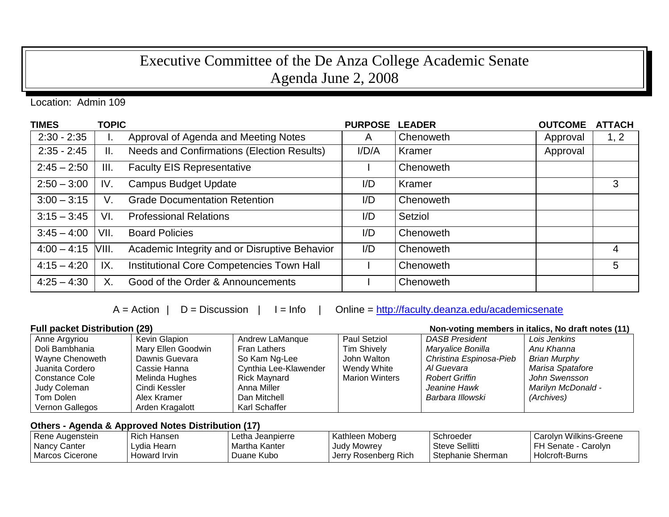## Executive Committee of the De Anza College Academic Senate Agenda June 2, 2008

Location: Admin 109

| <b>TIMES</b>  | <b>TOPIC</b> |                                               | <b>PURPOSE</b> | <b>LEADER</b> | <b>OUTCOME</b> | <b>ATTACH</b>  |
|---------------|--------------|-----------------------------------------------|----------------|---------------|----------------|----------------|
| $2:30 - 2:35$ | ı.           | Approval of Agenda and Meeting Notes          | A              | Chenoweth     | Approval       | 1, 2           |
| $2:35 - 2:45$ | II.          | Needs and Confirmations (Election Results)    | I/D/A          | Kramer        | Approval       |                |
| $2:45 - 2:50$ | III.         | <b>Faculty EIS Representative</b>             |                | Chenoweth     |                |                |
| $2:50 - 3:00$ | IV.          | <b>Campus Budget Update</b>                   | I/D            | Kramer        |                | 3              |
| $3:00 - 3:15$ | V.           | <b>Grade Documentation Retention</b>          | I/D            | Chenoweth     |                |                |
| $3:15 - 3:45$ | VI.          | <b>Professional Relations</b>                 | I/D            | Setziol       |                |                |
| $3:45 - 4:00$ | VII.         | <b>Board Policies</b>                         | I/D            | Chenoweth     |                |                |
| $4:00 - 4:15$ | VIII.        | Academic Integrity and or Disruptive Behavior | I/D            | Chenoweth     |                | $\overline{4}$ |
| $4:15 - 4:20$ | IX.          | Institutional Core Competencies Town Hall     |                | Chenoweth     |                | 5              |
| $4:25 - 4:30$ | X.           | Good of the Order & Announcements             |                | Chenoweth     |                |                |

 $A = Action \mid D = Discussion \mid I = Info \mid Online = \frac{http://faculty.deanza.edu/academicsenate}{}$ 

## **Full packet Distribution (29)**

| Non-voting members in italics, No draft notes (11) |
|----------------------------------------------------|
|                                                    |

| Anne Argyriou   | Kevin Glapion      | Andrew LaManque       | Paul Setziol          | <b>DASB President</b>   | Lois Jenkins              |
|-----------------|--------------------|-----------------------|-----------------------|-------------------------|---------------------------|
| Doli Bambhania  | Mary Ellen Goodwin | Fran Lathers          | <b>Tim Shively</b>    | Maryalice Bonilla       | Anu Khanna                |
| Wayne Chenoweth | Dawnis Guevara     | So Kam Ng-Lee         | John Walton           | Christina Espinosa-Pieb | <b>Brian Murphy</b>       |
| Juanita Cordero | Cassie Hanna       | Cynthia Lee-Klawender | Wendy White           | Al Guevara              | Marisa Spatafore          |
| Constance Cole  | Melinda Hughes     | Rick Mavnard          | <b>Marion Winters</b> | <b>Robert Griffin</b>   | John Swensson             |
| Judy Coleman    | Cindi Kessler      | Anna Miller           |                       | Jeanine Hawk            | <b>Marilyn McDonald -</b> |
| Tom Dolen       | Alex Kramer        | Dan Mitchell          |                       | Barbara Illowski        | (Archives)                |
| Vernon Gallegos | Arden Kragalott    | Karl Schaffer         |                       |                         |                           |

## **Others - Agenda & Approved Notes Distribution (17)**

| Rene Augenstein | Rich Hansen  | Letha Jeanpierre | Kathleen Moberg      | Schroeder             | l Carolvn Wilkins-Greene |
|-----------------|--------------|------------------|----------------------|-----------------------|--------------------------|
| l Nancy Canter  | ∟vdia Hearn  | Martha Kanter    | Judy Mowrey          | <b>Steve Sellitti</b> | FH Senate - Carolyn      |
| Marcos Cicerone | Howard Irvin | Duane Kubo       | Jerry Rosenberg Rich | Stephanie Sherman     | └ Holcroft-Burns         |